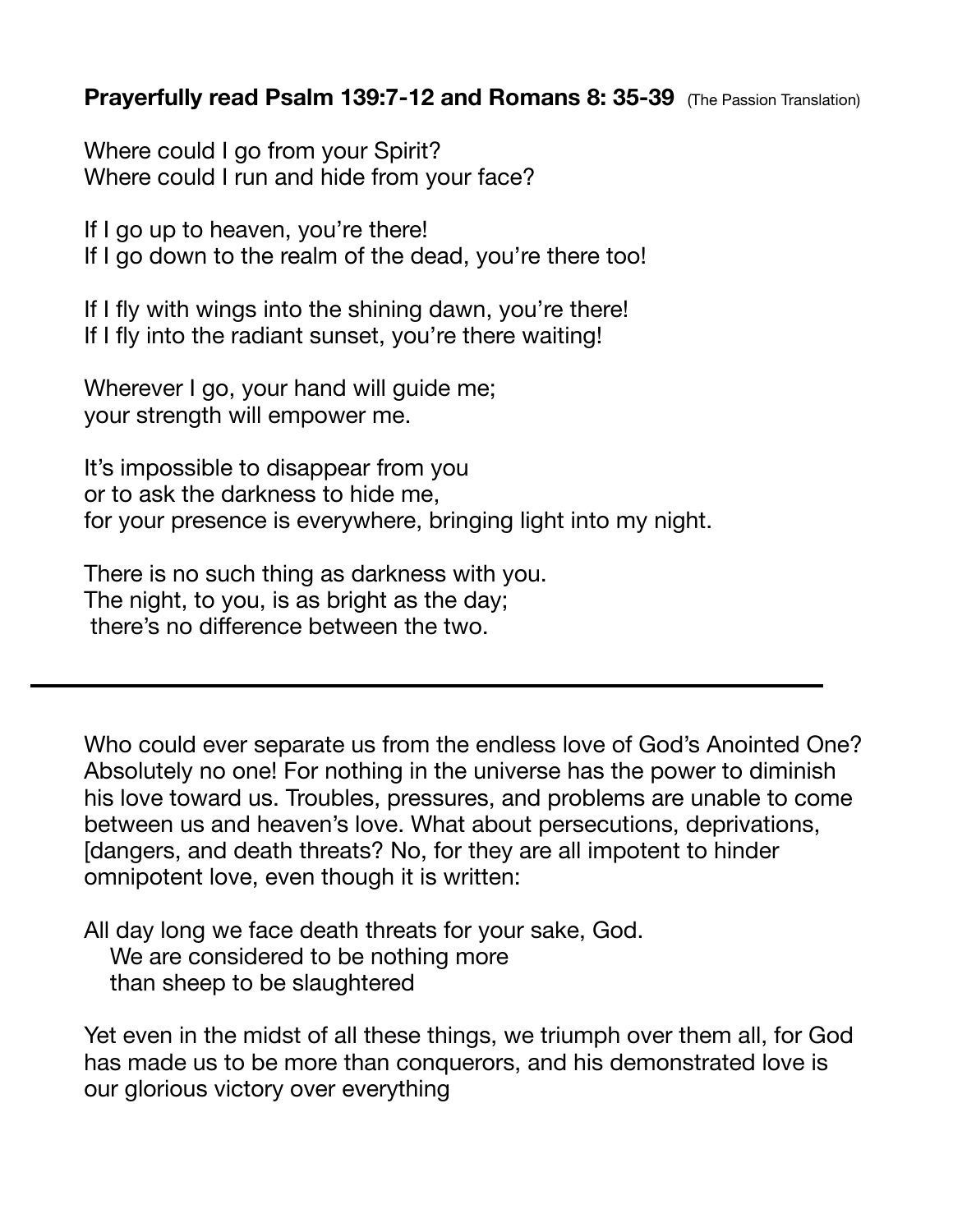## **Prayerfully read Psalm 139:7-12 and Romans 8: 35-39** (The Passion Translation)

Where could I go from your Spirit? Where could I run and hide from your face?

If I go up to heaven, you're there! If I go down to the realm of the dead, you're there too!

If I fly with wings into the shining dawn, you're there! If I fly into the radiant sunset, you're there waiting!

Wherever I go, your hand will guide me; your strength will empower me.

It's impossible to disappear from you or to ask the darkness to hide me, for your presence is everywhere, bringing light into my night.

There is no such thing as darkness with you. The night, to you, is as bright as the day; there's no difference between the two.

Who could ever separate us from the endless love of God's Anointed One? Absolutely no one! For nothing in the universe has the power to diminish his love toward us. Troubles, pressures, and problems are unable to come between us and heaven's love. What about persecutions, deprivations, [dangers, and death threats? No, for they are all impotent to hinder omnipotent love, even though it is written:

All day long we face death threats for your sake, God. We are considered to be nothing more than sheep to be slaughtered

Yet even in the midst of all these things, we triumph over them all, for God has made us to be more than conquerors, and his demonstrated love is our glorious victory over everything